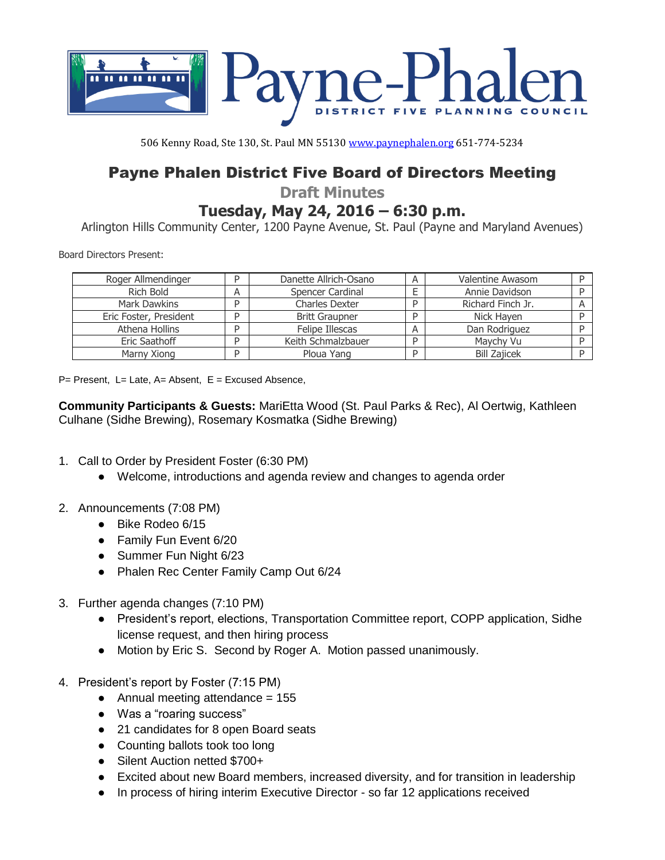

506 Kenny Road, Ste 130, St. Paul MN 55130 [www.paynephalen.org](http://www.paynephalen.org/) 651-774-5234

## Payne Phalen District Five Board of Directors Meeting

**Draft Minutes**

## **Tuesday, May 24, 2016 – 6:30 p.m.**

Arlington Hills Community Center, 1200 Payne Avenue, St. Paul (Payne and Maryland Avenues)

Board Directors Present:

| Roger Allmendinger     |   | Danette Allrich-Osano | А | Valentine Awasom    |  |
|------------------------|---|-----------------------|---|---------------------|--|
| Rich Bold              | A | Spencer Cardinal      |   | Annie Davidson      |  |
| Mark Dawkins           |   | <b>Charles Dexter</b> |   | Richard Finch Jr.   |  |
| Eric Foster, President | D | <b>Britt Graupner</b> | D | Nick Haven          |  |
| Athena Hollins         |   | Felipe Illescas       | A | Dan Rodriguez       |  |
| Eric Saathoff          |   | Keith Schmalzbauer    | D | Maychy Vu           |  |
| Marny Xiong            |   | Ploua Yang            | D | <b>Bill Zajicek</b> |  |

 $P=$  Present, L= Late, A= Absent, E = Excused Absence,

**Community Participants & Guests:** MariEtta Wood (St. Paul Parks & Rec), Al Oertwig, Kathleen Culhane (Sidhe Brewing), Rosemary Kosmatka (Sidhe Brewing)

- 1. Call to Order by President Foster (6:30 PM)
	- Welcome, introductions and agenda review and changes to agenda order
- 2. Announcements (7:08 PM)
	- Bike Rodeo 6/15
	- Family Fun Event 6/20
	- Summer Fun Night 6/23
	- Phalen Rec Center Family Camp Out 6/24
- 3. Further agenda changes (7:10 PM)
	- President's report, elections, Transportation Committee report, COPP application, Sidhe license request, and then hiring process
	- Motion by Eric S. Second by Roger A. Motion passed unanimously.
- 4. President's report by Foster (7:15 PM)
	- Annual meeting attendance  $= 155$
	- Was a "roaring success"
	- 21 candidates for 8 open Board seats
	- Counting ballots took too long
	- Silent Auction netted \$700+
	- Excited about new Board members, increased diversity, and for transition in leadership
	- In process of hiring interim Executive Director so far 12 applications received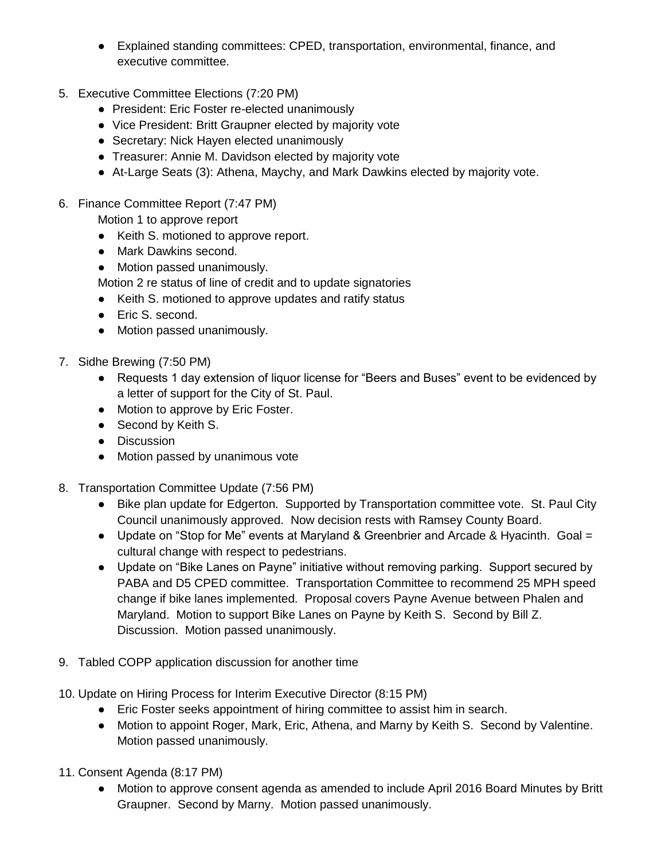- Explained standing committees: CPED, transportation, environmental, finance, and executive committee.
- 5. Executive Committee Elections (7:20 PM)
	- President: Eric Foster re-elected unanimously
	- Vice President: Britt Graupner elected by majority vote
	- Secretary: Nick Hayen elected unanimously
	- Treasurer: Annie M. Davidson elected by majority vote
	- At-Large Seats (3): Athena, Maychy, and Mark Dawkins elected by majority vote.
- 6. Finance Committee Report (7:47 PM)

Motion 1 to approve report

- Keith S. motioned to approve report.
- Mark Dawkins second.
- Motion passed unanimously.
- Motion 2 re status of line of credit and to update signatories
- Keith S. motioned to approve updates and ratify status
- Eric S. second.
- Motion passed unanimously.
- 7. Sidhe Brewing (7:50 PM)
	- Requests 1 day extension of liquor license for "Beers and Buses" event to be evidenced by a letter of support for the City of St. Paul.
	- Motion to approve by Eric Foster.
	- Second by Keith S.
	- Discussion
	- Motion passed by unanimous vote
- 8. Transportation Committee Update (7:56 PM)
	- Bike plan update for Edgerton. Supported by Transportation committee vote. St. Paul City Council unanimously approved. Now decision rests with Ramsey County Board.
	- Update on "Stop for Me" events at Maryland & Greenbrier and Arcade & Hyacinth. Goal = cultural change with respect to pedestrians.
	- Update on "Bike Lanes on Payne" initiative without removing parking. Support secured by PABA and D5 CPED committee. Transportation Committee to recommend 25 MPH speed change if bike lanes implemented. Proposal covers Payne Avenue between Phalen and Maryland. Motion to support Bike Lanes on Payne by Keith S. Second by Bill Z. Discussion. Motion passed unanimously.
- 9. Tabled COPP application discussion for another time
- 10. Update on Hiring Process for Interim Executive Director (8:15 PM)
	- Eric Foster seeks appointment of hiring committee to assist him in search.
	- Motion to appoint Roger, Mark, Eric, Athena, and Marny by Keith S. Second by Valentine. Motion passed unanimously.
- 11. Consent Agenda (8:17 PM)
	- Motion to approve consent agenda as amended to include April 2016 Board Minutes by Britt Graupner. Second by Marny. Motion passed unanimously.